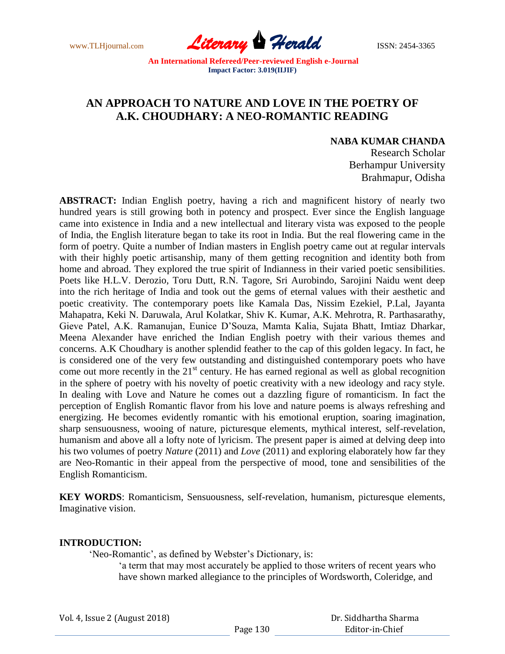www.TLHjournal.com **Literary Herald ISSN: 2454-3365** 

# **AN APPROACH TO NATURE AND LOVE IN THE POETRY OF A.K. CHOUDHARY: A NEO-ROMANTIC READING**

## **NABA KUMAR CHANDA**

Research Scholar Berhampur University Brahmapur, Odisha

**ABSTRACT:** Indian English poetry, having a rich and magnificent history of nearly two hundred years is still growing both in potency and prospect. Ever since the English language came into existence in India and a new intellectual and literary vista was exposed to the people of India, the English literature began to take its root in India. But the real flowering came in the form of poetry. Quite a number of Indian masters in English poetry came out at regular intervals with their highly poetic artisanship, many of them getting recognition and identity both from home and abroad. They explored the true spirit of Indianness in their varied poetic sensibilities. Poets like H.L.V. Derozio, Toru Dutt, R.N. Tagore, Sri Aurobindo, Sarojini Naidu went deep into the rich heritage of India and took out the gems of eternal values with their aesthetic and poetic creativity. The contemporary poets like Kamala Das, Nissim Ezekiel, P.Lal, Jayanta Mahapatra, Keki N. Daruwala, Arul Kolatkar, Shiv K. Kumar, A.K. Mehrotra, R. Parthasarathy, Gieve Patel, A.K. Ramanujan, Eunice D"Souza, Mamta Kalia, Sujata Bhatt, Imtiaz Dharkar, Meena Alexander have enriched the Indian English poetry with their various themes and concerns. A.K Choudhary is another splendid feather to the cap of this golden legacy. In fact, he is considered one of the very few outstanding and distinguished contemporary poets who have come out more recently in the  $21<sup>st</sup>$  century. He has earned regional as well as global recognition in the sphere of poetry with his novelty of poetic creativity with a new ideology and racy style. In dealing with Love and Nature he comes out a dazzling figure of romanticism. In fact the perception of English Romantic flavor from his love and nature poems is always refreshing and energizing. He becomes evidently romantic with his emotional eruption, soaring imagination, sharp sensuousness, wooing of nature, picturesque elements, mythical interest, self-revelation, humanism and above all a lofty note of lyricism. The present paper is aimed at delving deep into his two volumes of poetry *Nature* (2011) and *Love* (2011) and exploring elaborately how far they are Neo-Romantic in their appeal from the perspective of mood, tone and sensibilities of the English Romanticism.

**KEY WORDS**: Romanticism, Sensuousness, self-revelation, humanism, picturesque elements, Imaginative vision.

#### **INTRODUCTION:**

'Neo-Romantic', as defined by Webster's Dictionary, is:

"a term that may most accurately be applied to those writers of recent years who have shown marked allegiance to the principles of Wordsworth, Coleridge, and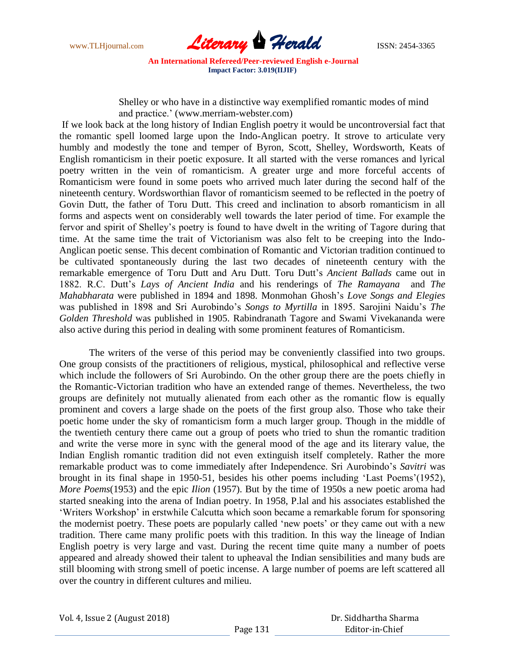

Shelley or who have in a distinctive way exemplified romantic modes of mind and practice." (www.merriam-webster.com)

If we look back at the long history of Indian English poetry it would be uncontroversial fact that the romantic spell loomed large upon the Indo-Anglican poetry. It strove to articulate very humbly and modestly the tone and temper of Byron, Scott, Shelley, Wordsworth, Keats of English romanticism in their poetic exposure. It all started with the verse romances and lyrical poetry written in the vein of romanticism. A greater urge and more forceful accents of Romanticism were found in some poets who arrived much later during the second half of the nineteenth century. Wordsworthian flavor of romanticism seemed to be reflected in the poetry of Govin Dutt, the father of Toru Dutt. This creed and inclination to absorb romanticism in all forms and aspects went on considerably well towards the later period of time. For example the fervor and spirit of Shelley"s poetry is found to have dwelt in the writing of Tagore during that time. At the same time the trait of Victorianism was also felt to be creeping into the Indo-Anglican poetic sense. This decent combination of Romantic and Victorian tradition continued to be cultivated spontaneously during the last two decades of nineteenth century with the remarkable emergence of Toru Dutt and Aru Dutt. Toru Dutt"s *Ancient Ballads* came out in 1882. R.C. Dutt"s *Lays of Ancient India* and his renderings of *The Ramayana* and *The Mahabharata* were published in 1894 and 1898. Monmohan Ghosh"s *Love Songs and Elegies* was published in 1898 and Sri Aurobindo"s *Songs to Myrtilla* in 1895. Sarojini Naidu"s *The Golden Threshold* was published in 1905. Rabindranath Tagore and Swami Vivekananda were also active during this period in dealing with some prominent features of Romanticism.

The writers of the verse of this period may be conveniently classified into two groups. One group consists of the practitioners of religious, mystical, philosophical and reflective verse which include the followers of Sri Aurobindo. On the other group there are the poets chiefly in the Romantic-Victorian tradition who have an extended range of themes. Nevertheless, the two groups are definitely not mutually alienated from each other as the romantic flow is equally prominent and covers a large shade on the poets of the first group also. Those who take their poetic home under the sky of romanticism form a much larger group. Though in the middle of the twentieth century there came out a group of poets who tried to shun the romantic tradition and write the verse more in sync with the general mood of the age and its literary value, the Indian English romantic tradition did not even extinguish itself completely. Rather the more remarkable product was to come immediately after Independence. Sri Aurobindo"s *Savitri* was brought in its final shape in 1950-51, besides his other poems including "Last Poems"(1952), *More Poems*(1953) and the epic *Ilion* (1957). But by the time of 1950s a new poetic aroma had started sneaking into the arena of Indian poetry. In 1958, P.lal and his associates established the "Writers Workshop" in erstwhile Calcutta which soon became a remarkable forum for sponsoring the modernist poetry. These poets are popularly called "new poets" or they came out with a new tradition. There came many prolific poets with this tradition. In this way the lineage of Indian English poetry is very large and vast. During the recent time quite many a number of poets appeared and already showed their talent to upheaval the Indian sensibilities and many buds are still blooming with strong smell of poetic incense. A large number of poems are left scattered all over the country in different cultures and milieu.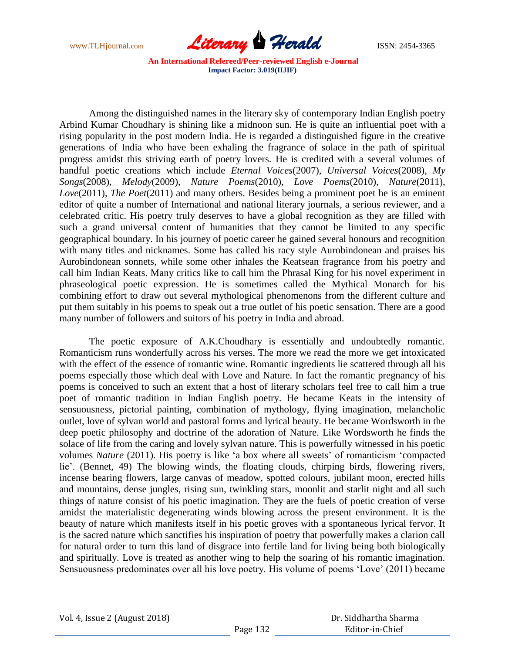

Among the distinguished names in the literary sky of contemporary Indian English poetry Arbind Kumar Choudhary is shining like a midnoon sun. He is quite an influential poet with a rising popularity in the post modern India. He is regarded a distinguished figure in the creative generations of India who have been exhaling the fragrance of solace in the path of spiritual progress amidst this striving earth of poetry lovers. He is credited with a several volumes of handful poetic creations which include *Eternal Voices*(2007), *Universal Voices*(2008), *My Songs*(2008), *Melody*(2009), *Nature Poems*(2010), *Love Poems*(2010), *Nature*(2011), *Love*(2011), *The Poet*(2011) and many others. Besides being a prominent poet he is an eminent editor of quite a number of International and national literary journals, a serious reviewer, and a celebrated critic. His poetry truly deserves to have a global recognition as they are filled with such a grand universal content of humanities that they cannot be limited to any specific geographical boundary. In his journey of poetic career he gained several honours and recognition with many titles and nicknames. Some has called his racy style Aurobindonean and praises his Aurobindonean sonnets, while some other inhales the Keatsean fragrance from his poetry and call him Indian Keats. Many critics like to call him the Phrasal King for his novel experiment in phraseological poetic expression. He is sometimes called the Mythical Monarch for his combining effort to draw out several mythological phenomenons from the different culture and put them suitably in his poems to speak out a true outlet of his poetic sensation. There are a good many number of followers and suitors of his poetry in India and abroad.

The poetic exposure of A.K.Choudhary is essentially and undoubtedly romantic. Romanticism runs wonderfully across his verses. The more we read the more we get intoxicated with the effect of the essence of romantic wine. Romantic ingredients lie scattered through all his poems especially those which deal with Love and Nature. In fact the romantic pregnancy of his poems is conceived to such an extent that a host of literary scholars feel free to call him a true poet of romantic tradition in Indian English poetry. He became Keats in the intensity of sensuousness, pictorial painting, combination of mythology, flying imagination, melancholic outlet, love of sylvan world and pastoral forms and lyrical beauty. He became Wordsworth in the deep poetic philosophy and doctrine of the adoration of Nature. Like Wordsworth he finds the solace of life from the caring and lovely sylvan nature. This is powerfully witnessed in his poetic volumes *Nature* (2011). His poetry is like "a box where all sweets" of romanticism "compacted lie'. (Bennet, 49) The blowing winds, the floating clouds, chirping birds, flowering rivers, incense bearing flowers, large canvas of meadow, spotted colours, jubilant moon, erected hills and mountains, dense jungles, rising sun, twinkling stars, moonlit and starlit night and all such things of nature consist of his poetic imagination. They are the fuels of poetic creation of verse amidst the materialistic degenerating winds blowing across the present environment. It is the beauty of nature which manifests itself in his poetic groves with a spontaneous lyrical fervor. It is the sacred nature which sanctifies his inspiration of poetry that powerfully makes a clarion call for natural order to turn this land of disgrace into fertile land for living being both biologically and spiritually. Love is treated as another wing to help the soaring of his romantic imagination. Sensuousness predominates over all his love poetry. His volume of poems 'Love' (2011) became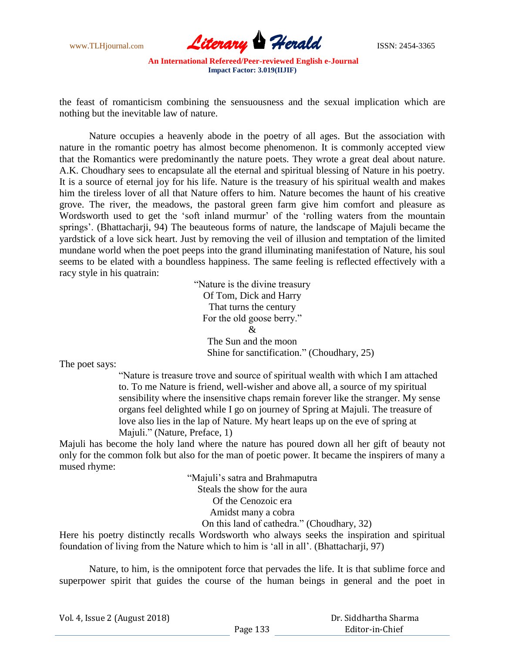

the feast of romanticism combining the sensuousness and the sexual implication which are nothing but the inevitable law of nature.

Nature occupies a heavenly abode in the poetry of all ages. But the association with nature in the romantic poetry has almost become phenomenon. It is commonly accepted view that the Romantics were predominantly the nature poets. They wrote a great deal about nature. A.K. Choudhary sees to encapsulate all the eternal and spiritual blessing of Nature in his poetry. It is a source of eternal joy for his life. Nature is the treasury of his spiritual wealth and makes him the tireless lover of all that Nature offers to him. Nature becomes the haunt of his creative grove. The river, the meadows, the pastoral green farm give him comfort and pleasure as Wordsworth used to get the 'soft inland murmur' of the 'rolling waters from the mountain springs'. (Bhattacharji, 94) The beauteous forms of nature, the landscape of Majuli became the yardstick of a love sick heart. Just by removing the veil of illusion and temptation of the limited mundane world when the poet peeps into the grand illuminating manifestation of Nature, his soul seems to be elated with a boundless happiness. The same feeling is reflected effectively with a racy style in his quatrain:

> "Nature is the divine treasury Of Tom, Dick and Harry That turns the century For the old goose berry."  $\mathcal{R}$ The Sun and the moon Shine for sanctification." (Choudhary, 25)

The poet says:

"Nature is treasure trove and source of spiritual wealth with which I am attached to. To me Nature is friend, well-wisher and above all, a source of my spiritual sensibility where the insensitive chaps remain forever like the stranger. My sense organs feel delighted while I go on journey of Spring at Majuli. The treasure of love also lies in the lap of Nature. My heart leaps up on the eve of spring at Majuli." (Nature, Preface, 1)

Majuli has become the holy land where the nature has poured down all her gift of beauty not only for the common folk but also for the man of poetic power. It became the inspirers of many a mused rhyme:

> "Majuli"s satra and Brahmaputra Steals the show for the aura Of the Cenozoic era Amidst many a cobra On this land of cathedra." (Choudhary, 32)

Here his poetry distinctly recalls Wordsworth who always seeks the inspiration and spiritual foundation of living from the Nature which to him is "all in all". (Bhattacharji, 97)

Nature, to him, is the omnipotent force that pervades the life. It is that sublime force and superpower spirit that guides the course of the human beings in general and the poet in

Vol. 4, Issue 2 (August 2018)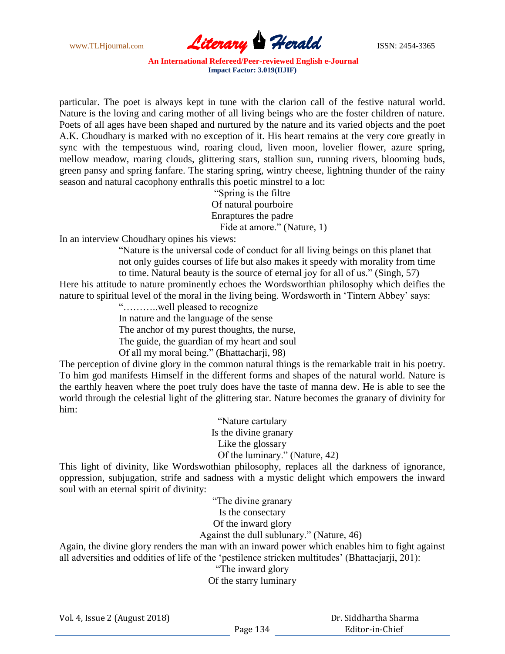

particular. The poet is always kept in tune with the clarion call of the festive natural world. Nature is the loving and caring mother of all living beings who are the foster children of nature. Poets of all ages have been shaped and nurtured by the nature and its varied objects and the poet A.K. Choudhary is marked with no exception of it. His heart remains at the very core greatly in sync with the tempestuous wind, roaring cloud, liven moon, lovelier flower, azure spring, mellow meadow, roaring clouds, glittering stars, stallion sun, running rivers, blooming buds, green pansy and spring fanfare. The staring spring, wintry cheese, lightning thunder of the rainy season and natural cacophony enthralls this poetic minstrel to a lot:

"Spring is the filtre Of natural pourboire Enraptures the padre Fide at amore." (Nature, 1)

In an interview Choudhary opines his views:

"Nature is the universal code of conduct for all living beings on this planet that not only guides courses of life but also makes it speedy with morality from time

to time. Natural beauty is the source of eternal joy for all of us." (Singh, 57) Here his attitude to nature prominently echoes the Wordsworthian philosophy which deifies the nature to spiritual level of the moral in the living being. Wordsworth in "Tintern Abbey" says:

"………..well pleased to recognize

In nature and the language of the sense

The anchor of my purest thoughts, the nurse,

The guide, the guardian of my heart and soul

Of all my moral being." (Bhattacharji, 98)

The perception of divine glory in the common natural things is the remarkable trait in his poetry. To him god manifests Himself in the different forms and shapes of the natural world. Nature is the earthly heaven where the poet truly does have the taste of manna dew. He is able to see the world through the celestial light of the glittering star. Nature becomes the granary of divinity for him:

> "Nature cartulary Is the divine granary Like the glossary Of the luminary." (Nature, 42)

This light of divinity, like Wordswothian philosophy, replaces all the darkness of ignorance, oppression, subjugation, strife and sadness with a mystic delight which empowers the inward soul with an eternal spirit of divinity:

> "The divine granary Is the consectary

> Of the inward glory

Against the dull sublunary." (Nature, 46)

Again, the divine glory renders the man with an inward power which enables him to fight against all adversities and oddities of life of the "pestilence stricken multitudes" (Bhattacjarji, 201):

"The inward glory

Of the starry luminary

Vol. 4, Issue 2 (August 2018)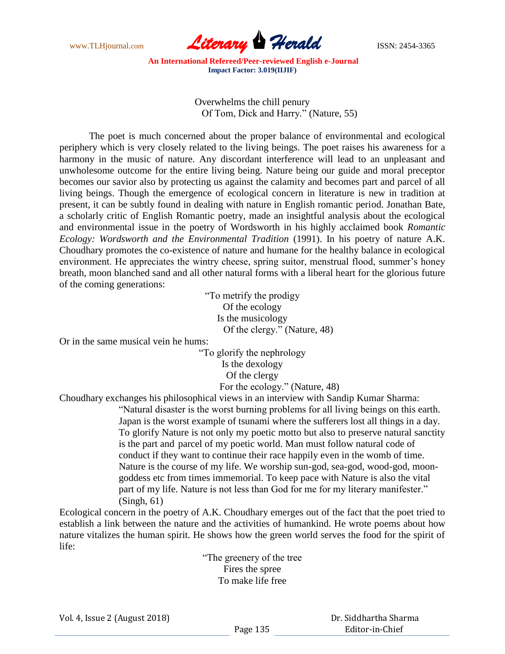

> Overwhelms the chill penury Of Tom, Dick and Harry." (Nature, 55)

The poet is much concerned about the proper balance of environmental and ecological periphery which is very closely related to the living beings. The poet raises his awareness for a harmony in the music of nature. Any discordant interference will lead to an unpleasant and unwholesome outcome for the entire living being. Nature being our guide and moral preceptor becomes our savior also by protecting us against the calamity and becomes part and parcel of all living beings. Though the emergence of ecological concern in literature is new in tradition at present, it can be subtly found in dealing with nature in English romantic period. Jonathan Bate, a scholarly critic of English Romantic poetry, made an insightful analysis about the ecological and environmental issue in the poetry of Wordsworth in his highly acclaimed book *Romantic Ecology: Wordsworth and the Environmental Tradition* (1991). In his poetry of nature A.K. Choudhary promotes the co-existence of nature and humane for the healthy balance in ecological environment. He appreciates the wintry cheese, spring suitor, menstrual flood, summer's honey breath, moon blanched sand and all other natural forms with a liberal heart for the glorious future of the coming generations:

> "To metrify the prodigy Of the ecology Is the musicology Of the clergy." (Nature, 48)

Or in the same musical vein he hums:

"To glorify the nephrology Is the dexology Of the clergy For the ecology." (Nature, 48)

Choudhary exchanges his philosophical views in an interview with Sandip Kumar Sharma:

"Natural disaster is the worst burning problems for all living beings on this earth. Japan is the worst example of tsunami where the sufferers lost all things in a day. To glorify Nature is not only my poetic motto but also to preserve natural sanctity is the part and parcel of my poetic world. Man must follow natural code of conduct if they want to continue their race happily even in the womb of time. Nature is the course of my life. We worship sun-god, sea-god, wood-god, moongoddess etc from times immemorial. To keep pace with Nature is also the vital part of my life. Nature is not less than God for me for my literary manifester." (Singh, 61)

Ecological concern in the poetry of A.K. Choudhary emerges out of the fact that the poet tried to establish a link between the nature and the activities of humankind. He wrote poems about how nature vitalizes the human spirit. He shows how the green world serves the food for the spirit of life:

> "The greenery of the tree Fires the spree To make life free

Vol. 4, Issue 2 (August 2018)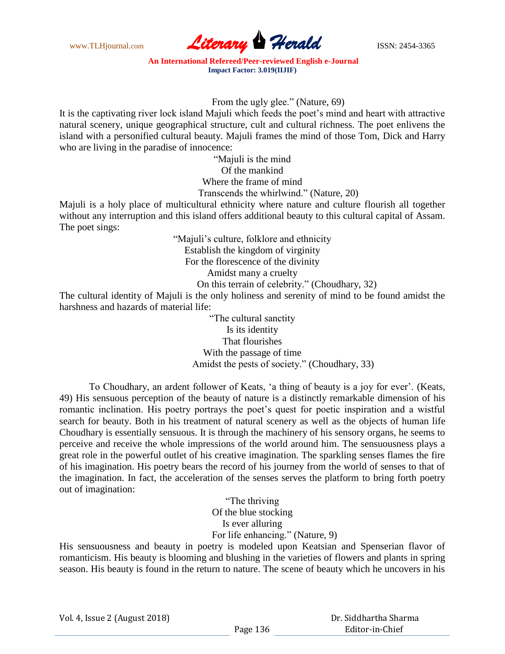www.TLHjournal.com **Literary Herald Herald** ISSN: 2454-3365

From the ugly glee." (Nature, 69)

It is the captivating river lock island Majuli which feeds the poet"s mind and heart with attractive natural scenery, unique geographical structure, cult and cultural richness. The poet enlivens the island with a personified cultural beauty. Majuli frames the mind of those Tom, Dick and Harry who are living in the paradise of innocence:

> "Majuli is the mind Of the mankind Where the frame of mind Transcends the whirlwind." (Nature, 20)

Majuli is a holy place of multicultural ethnicity where nature and culture flourish all together without any interruption and this island offers additional beauty to this cultural capital of Assam. The poet sings:

> "Majuli"s culture, folklore and ethnicity Establish the kingdom of virginity For the florescence of the divinity Amidst many a cruelty On this terrain of celebrity." (Choudhary, 32)

The cultural identity of Majuli is the only holiness and serenity of mind to be found amidst the harshness and hazards of material life:

> "The cultural sanctity Is its identity That flourishes With the passage of time Amidst the pests of society." (Choudhary, 33)

To Choudhary, an ardent follower of Keats, "a thing of beauty is a joy for ever". (Keats, 49) His sensuous perception of the beauty of nature is a distinctly remarkable dimension of his romantic inclination. His poetry portrays the poet"s quest for poetic inspiration and a wistful search for beauty. Both in his treatment of natural scenery as well as the objects of human life Choudhary is essentially sensuous. It is through the machinery of his sensory organs, he seems to perceive and receive the whole impressions of the world around him. The sensuousness plays a great role in the powerful outlet of his creative imagination. The sparkling senses flames the fire of his imagination. His poetry bears the record of his journey from the world of senses to that of the imagination. In fact, the acceleration of the senses serves the platform to bring forth poetry out of imagination:

> "The thriving Of the blue stocking Is ever alluring For life enhancing." (Nature, 9)

His sensuousness and beauty in poetry is modeled upon Keatsian and Spenserian flavor of romanticism. His beauty is blooming and blushing in the varieties of flowers and plants in spring season. His beauty is found in the return to nature. The scene of beauty which he uncovers in his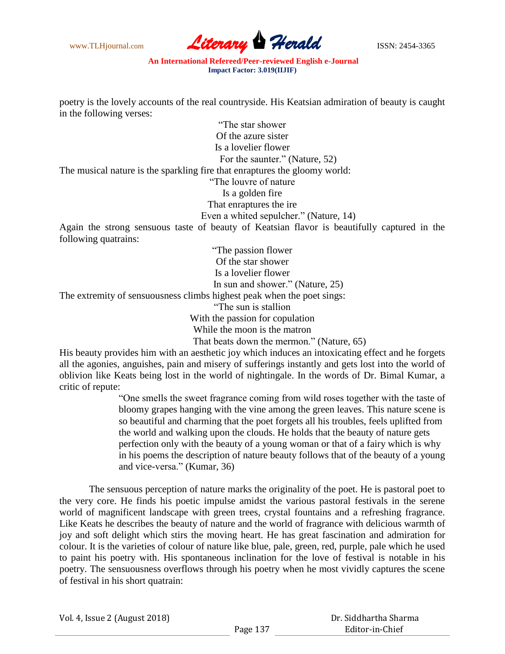

poetry is the lovely accounts of the real countryside. His Keatsian admiration of beauty is caught in the following verses:

"The star shower Of the azure sister Is a lovelier flower For the saunter." (Nature, 52) The musical nature is the sparkling fire that enraptures the gloomy world: "The louvre of nature Is a golden fire That enraptures the ire Even a whited sepulcher." (Nature, 14) Again the strong sensuous taste of beauty of Keatsian flavor is beautifully captured in the following quatrains: "The passion flower Of the star shower Is a lovelier flower In sun and shower." (Nature, 25) The extremity of sensuousness climbs highest peak when the poet sings: "The sun is stallion

With the passion for copulation

While the moon is the matron

That beats down the mermon." (Nature, 65)

His beauty provides him with an aesthetic joy which induces an intoxicating effect and he forgets all the agonies, anguishes, pain and misery of sufferings instantly and gets lost into the world of oblivion like Keats being lost in the world of nightingale. In the words of Dr. Bimal Kumar, a critic of repute:

> "One smells the sweet fragrance coming from wild roses together with the taste of bloomy grapes hanging with the vine among the green leaves. This nature scene is so beautiful and charming that the poet forgets all his troubles, feels uplifted from the world and walking upon the clouds. He holds that the beauty of nature gets perfection only with the beauty of a young woman or that of a fairy which is why in his poems the description of nature beauty follows that of the beauty of a young and vice-versa." (Kumar, 36)

The sensuous perception of nature marks the originality of the poet. He is pastoral poet to the very core. He finds his poetic impulse amidst the various pastoral festivals in the serene world of magnificent landscape with green trees, crystal fountains and a refreshing fragrance. Like Keats he describes the beauty of nature and the world of fragrance with delicious warmth of joy and soft delight which stirs the moving heart. He has great fascination and admiration for colour. It is the varieties of colour of nature like blue, pale, green, red, purple, pale which he used to paint his poetry with. His spontaneous inclination for the love of festival is notable in his poetry. The sensuousness overflows through his poetry when he most vividly captures the scene of festival in his short quatrain: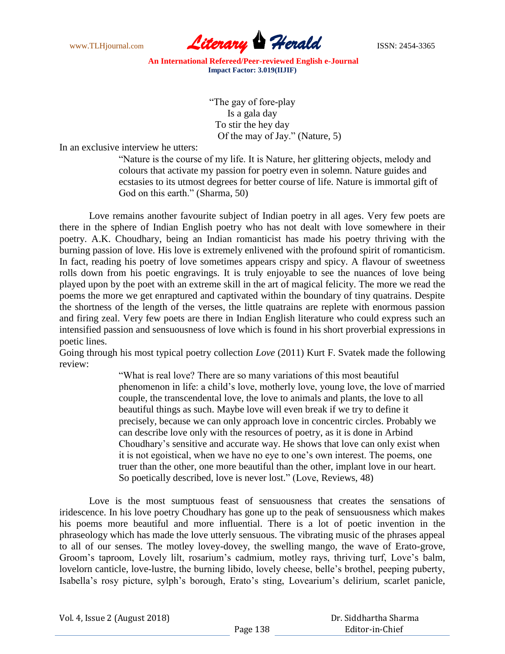

> "The gay of fore-play Is a gala day To stir the hey day Of the may of Jay." (Nature, 5)

In an exclusive interview he utters:

"Nature is the course of my life. It is Nature, her glittering objects, melody and colours that activate my passion for poetry even in solemn. Nature guides and ecstasies to its utmost degrees for better course of life. Nature is immortal gift of God on this earth." (Sharma, 50)

Love remains another favourite subject of Indian poetry in all ages. Very few poets are there in the sphere of Indian English poetry who has not dealt with love somewhere in their poetry. A.K. Choudhary, being an Indian romanticist has made his poetry thriving with the burning passion of love. His love is extremely enlivened with the profound spirit of romanticism. In fact, reading his poetry of love sometimes appears crispy and spicy. A flavour of sweetness rolls down from his poetic engravings. It is truly enjoyable to see the nuances of love being played upon by the poet with an extreme skill in the art of magical felicity. The more we read the poems the more we get enraptured and captivated within the boundary of tiny quatrains. Despite the shortness of the length of the verses, the little quatrains are replete with enormous passion and firing zeal. Very few poets are there in Indian English literature who could express such an intensified passion and sensuousness of love which is found in his short proverbial expressions in poetic lines.

Going through his most typical poetry collection *Love* (2011) Kurt F. Svatek made the following review:

> "What is real love? There are so many variations of this most beautiful phenomenon in life: a child"s love, motherly love, young love, the love of married couple, the transcendental love, the love to animals and plants, the love to all beautiful things as such. Maybe love will even break if we try to define it precisely, because we can only approach love in concentric circles. Probably we can describe love only with the resources of poetry, as it is done in Arbind Choudhary"s sensitive and accurate way. He shows that love can only exist when it is not egoistical, when we have no eye to one"s own interest. The poems, one truer than the other, one more beautiful than the other, implant love in our heart. So poetically described, love is never lost." (Love, Reviews, 48)

Love is the most sumptuous feast of sensuousness that creates the sensations of iridescence. In his love poetry Choudhary has gone up to the peak of sensuousness which makes his poems more beautiful and more influential. There is a lot of poetic invention in the phraseology which has made the love utterly sensuous. The vibrating music of the phrases appeal to all of our senses. The motley lovey-dovey, the swelling mango, the wave of Erato-grove, Groom"s taproom, Lovely lilt, rosarium"s cadmium, motley rays, thriving turf, Love"s balm, lovelorn canticle, love-lustre, the burning libido, lovely cheese, belle"s brothel, peeping puberty, Isabella's rosy picture, sylph's borough, Erato's sting, Lovearium's delirium, scarlet panicle,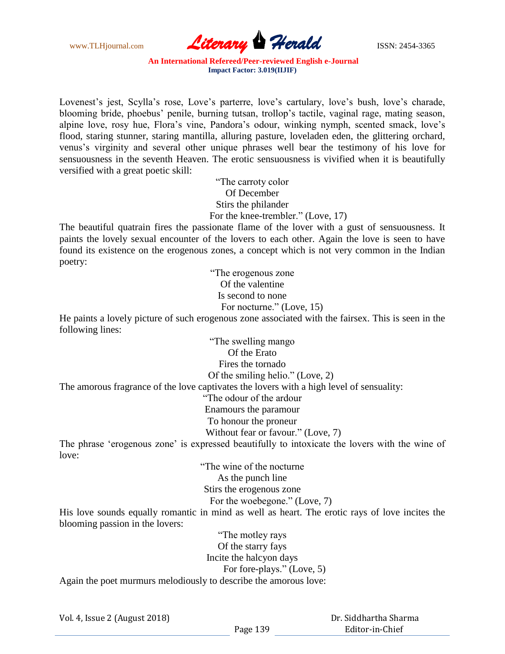

Lovenest's jest, Scylla's rose, Love's parterre, love's cartulary, love's bush, love's charade, blooming bride, phoebus" penile, burning tutsan, trollop"s tactile, vaginal rage, mating season, alpine love, rosy hue, Flora"s vine, Pandora"s odour, winking nymph, scented smack, love"s flood, staring stunner, staring mantilla, alluring pasture, loveladen eden, the glittering orchard, venus"s virginity and several other unique phrases well bear the testimony of his love for sensuousness in the seventh Heaven. The erotic sensuousness is vivified when it is beautifully versified with a great poetic skill:

> "The carroty color Of December Stirs the philander For the knee-trembler." (Love, 17)

The beautiful quatrain fires the passionate flame of the lover with a gust of sensuousness. It paints the lovely sexual encounter of the lovers to each other. Again the love is seen to have found its existence on the erogenous zones, a concept which is not very common in the Indian poetry:

> "The erogenous zone Of the valentine Is second to none For nocturne." (Love, 15)

He paints a lovely picture of such erogenous zone associated with the fairsex. This is seen in the following lines:

> "The swelling mango Of the Erato Fires the tornado Of the smiling helio." (Love, 2)

The amorous fragrance of the love captivates the lovers with a high level of sensuality:

"The odour of the ardour

Enamours the paramour

To honour the proneur

Without fear or favour." (Love, 7)

The phrase 'erogenous zone' is expressed beautifully to intoxicate the lovers with the wine of love:

> "The wine of the nocturne As the punch line Stirs the erogenous zone For the woebegone." (Love, 7)

His love sounds equally romantic in mind as well as heart. The erotic rays of love incites the blooming passion in the lovers:

"The motley rays Of the starry fays Incite the halcyon days For fore-plays." (Love, 5) Again the poet murmurs melodiously to describe the amorous love:

Vol. 4, Issue 2 (August 2018)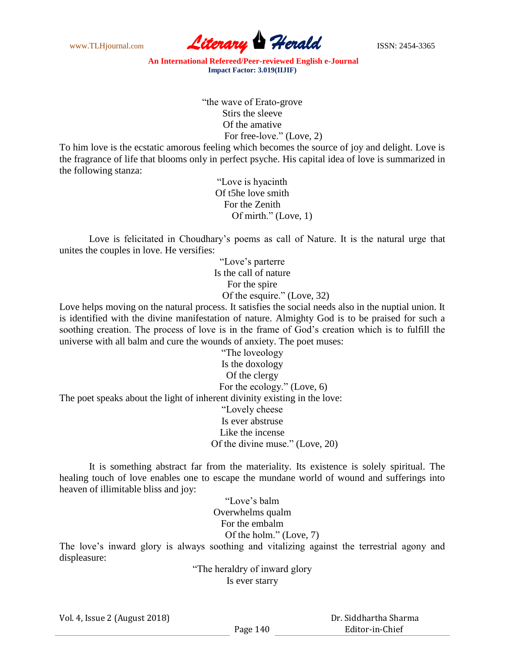

> "the wave of Erato-grove Stirs the sleeve Of the amative For free-love." (Love, 2)

To him love is the ecstatic amorous feeling which becomes the source of joy and delight. Love is the fragrance of life that blooms only in perfect psyche. His capital idea of love is summarized in the following stanza:

> "Love is hyacinth Of t5he love smith For the Zenith Of mirth." (Love, 1)

Love is felicitated in Choudhary's poems as call of Nature. It is the natural urge that unites the couples in love. He versifies:

> "Love"s parterre Is the call of nature For the spire Of the esquire." (Love, 32)

Love helps moving on the natural process. It satisfies the social needs also in the nuptial union. It is identified with the divine manifestation of nature. Almighty God is to be praised for such a soothing creation. The process of love is in the frame of God's creation which is to fulfill the universe with all balm and cure the wounds of anxiety. The poet muses:

"The loveology Is the doxology Of the clergy For the ecology." (Love, 6) The poet speaks about the light of inherent divinity existing in the love: "Lovely cheese Is ever abstruse Like the incense Of the divine muse." (Love, 20)

It is something abstract far from the materiality. Its existence is solely spiritual. The healing touch of love enables one to escape the mundane world of wound and sufferings into heaven of illimitable bliss and joy:

> "Love"s balm Overwhelms qualm For the embalm Of the holm." (Love, 7)

The love"s inward glory is always soothing and vitalizing against the terrestrial agony and displeasure:

> "The heraldry of inward glory Is ever starry

Vol. 4, Issue 2 (August 2018)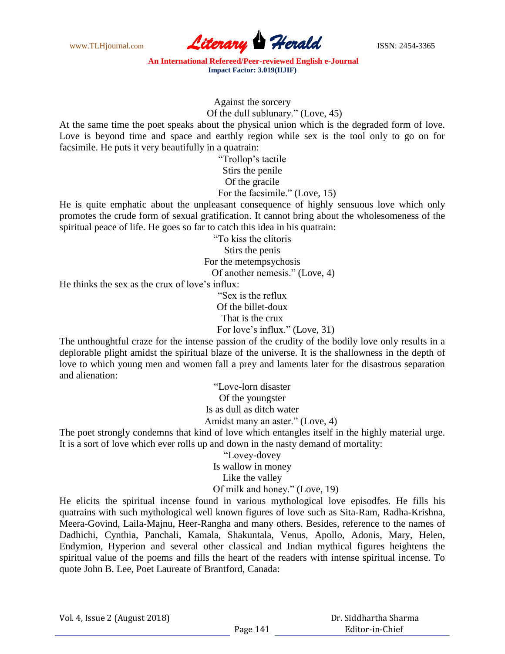

Against the sorcery

Of the dull sublunary." (Love, 45)

At the same time the poet speaks about the physical union which is the degraded form of love. Love is beyond time and space and earthly region while sex is the tool only to go on for facsimile. He puts it very beautifully in a quatrain:

> "Trollop"s tactile Stirs the penile Of the gracile For the facsimile." (Love, 15)

He is quite emphatic about the unpleasant consequence of highly sensuous love which only promotes the crude form of sexual gratification. It cannot bring about the wholesomeness of the spiritual peace of life. He goes so far to catch this idea in his quatrain:

> "To kiss the clitoris Stirs the penis For the metempsychosis

Of another nemesis." (Love, 4)

He thinks the sex as the crux of love's influx:

"Sex is the reflux Of the billet-doux That is the crux For love's influx." (Love, 31)

The unthoughtful craze for the intense passion of the crudity of the bodily love only results in a deplorable plight amidst the spiritual blaze of the universe. It is the shallowness in the depth of love to which young men and women fall a prey and laments later for the disastrous separation and alienation:

> "Love-lorn disaster Of the youngster Is as dull as ditch water Amidst many an aster." (Love, 4)

The poet strongly condemns that kind of love which entangles itself in the highly material urge. It is a sort of love which ever rolls up and down in the nasty demand of mortality:

"Lovey-dovey

Is wallow in money

Like the valley

Of milk and honey." (Love, 19)

He elicits the spiritual incense found in various mythological love episodfes. He fills his quatrains with such mythological well known figures of love such as Sita-Ram, Radha-Krishna, Meera-Govind, Laila-Majnu, Heer-Rangha and many others. Besides, reference to the names of Dadhichi, Cynthia, Panchali, Kamala, Shakuntala, Venus, Apollo, Adonis, Mary, Helen, Endymion, Hyperion and several other classical and Indian mythical figures heightens the spiritual value of the poems and fills the heart of the readers with intense spiritual incense. To quote John B. Lee, Poet Laureate of Brantford, Canada: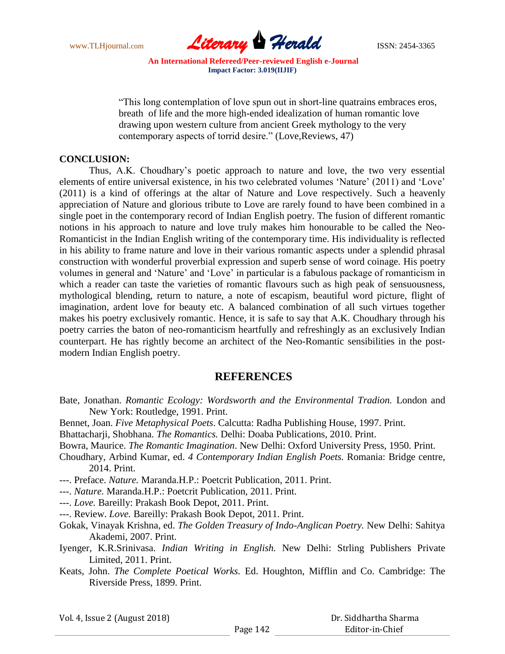

"This long contemplation of love spun out in short-line quatrains embraces eros, breath of life and the more high-ended idealization of human romantic love drawing upon western culture from ancient Greek mythology to the very contemporary aspects of torrid desire." (Love,Reviews, 47)

## **CONCLUSION:**

Thus, A.K. Choudhary"s poetic approach to nature and love, the two very essential elements of entire universal existence, in his two celebrated volumes 'Nature' (2011) and 'Love' (2011) is a kind of offerings at the altar of Nature and Love respectively. Such a heavenly appreciation of Nature and glorious tribute to Love are rarely found to have been combined in a single poet in the contemporary record of Indian English poetry. The fusion of different romantic notions in his approach to nature and love truly makes him honourable to be called the Neo-Romanticist in the Indian English writing of the contemporary time. His individuality is reflected in his ability to frame nature and love in their various romantic aspects under a splendid phrasal construction with wonderful proverbial expression and superb sense of word coinage. His poetry volumes in general and "Nature" and "Love" in particular is a fabulous package of romanticism in which a reader can taste the varieties of romantic flavours such as high peak of sensuousness, mythological blending, return to nature, a note of escapism, beautiful word picture, flight of imagination, ardent love for beauty etc. A balanced combination of all such virtues together makes his poetry exclusively romantic. Hence, it is safe to say that A.K. Choudhary through his poetry carries the baton of neo-romanticism heartfully and refreshingly as an exclusively Indian counterpart. He has rightly become an architect of the Neo-Romantic sensibilities in the postmodern Indian English poetry.

# **REFERENCES**

- Bate, Jonathan. *Romantic Ecology: Wordsworth and the Environmental Tradion.* London and New York: Routledge, 1991. Print.
- Bennet, Joan. *Five Metaphysical Poets*. Calcutta: Radha Publishing House, 1997. Print.
- Bhattacharji, Shobhana. *The Romantics.* Delhi: Doaba Publications, 2010. Print.

Bowra, Maurice. *The Romantic Imagination*. New Delhi: Oxford University Press, 1950. Print.

- Choudhary, Arbind Kumar, ed. *4 Contemporary Indian English Poets.* Romania: Bridge centre, 2014. Print.
- ---. Preface. *Nature.* Maranda.H.P.: Poetcrit Publication, 2011. Print.
- ---. *Nature.* Maranda.H.P.: Poetcrit Publication, 2011. Print.
- ---. *Love.* Bareilly: Prakash Book Depot, 2011. Print.
- ---. Review. *Love.* Bareilly: Prakash Book Depot, 2011. Print.
- Gokak, Vinayak Krishna, ed. *The Golden Treasury of Indo-Anglican Poetry.* New Delhi: Sahitya Akademi, 2007. Print.
- Iyenger, K.R.Srinivasa. *Indian Writing in English.* New Delhi: Strling Publishers Private Limited, 2011. Print.
- Keats, John. *The Complete Poetical Works.* Ed. Houghton, Mifflin and Co. Cambridge: The Riverside Press, 1899. Print.